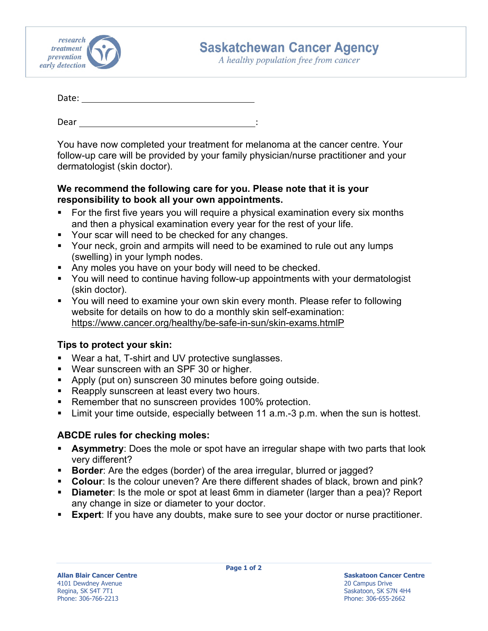

## **Saskatchewan Cancer Agency**

A healthy population free from cancer

| Date: |  |  |  |  |
|-------|--|--|--|--|
|       |  |  |  |  |
|       |  |  |  |  |

Dear

You have now completed your treatment for melanoma at the cancer centre. Your follow-up care will be provided by your family physician/nurse practitioner and your dermatologist (skin doctor).

## **We recommend the following care for you. Please note that it is your responsibility to book all your own appointments.**

- For the first five years you will require a physical examination every six months and then a physical examination every year for the rest of your life.
- **Your scar will need to be checked for any changes.**
- **Your neck, groin and armpits will need to be examined to rule out any lumps** (swelling) in your lymph nodes.
- Any moles you have on your body will need to be checked.
- You will need to continue having follow-up appointments with your dermatologist (skin doctor).
- You will need to examine your own skin every month. Please refer to following website for details on how to do a monthly skin self-examination: https://www.cancer.org/healthy/be-safe-in-sun/skin-exams.htmlP

## **Tips to protect your skin:**

- Wear a hat, T-shirt and UV protective sunglasses.
- Wear sunscreen with an SPF 30 or higher.
- Apply (put on) sunscreen 30 minutes before going outside.
- Reapply sunscreen at least every two hours.
- **Remember that no sunscreen provides 100% protection.**
- Limit your time outside, especially between 11 a.m.-3 p.m. when the sun is hottest.

## **ABCDE rules for checking moles:**

- **Asymmetry**: Does the mole or spot have an irregular shape with two parts that look very different?
- **Border:** Are the edges (border) of the area irregular, blurred or jagged?
- **Colour**: Is the colour uneven? Are there different shades of black, brown and pink?
- **Diameter**: Is the mole or spot at least 6mm in diameter (larger than a pea)? Report any change in size or diameter to your doctor.
- **Expert**: If you have any doubts, make sure to see your doctor or nurse practitioner.